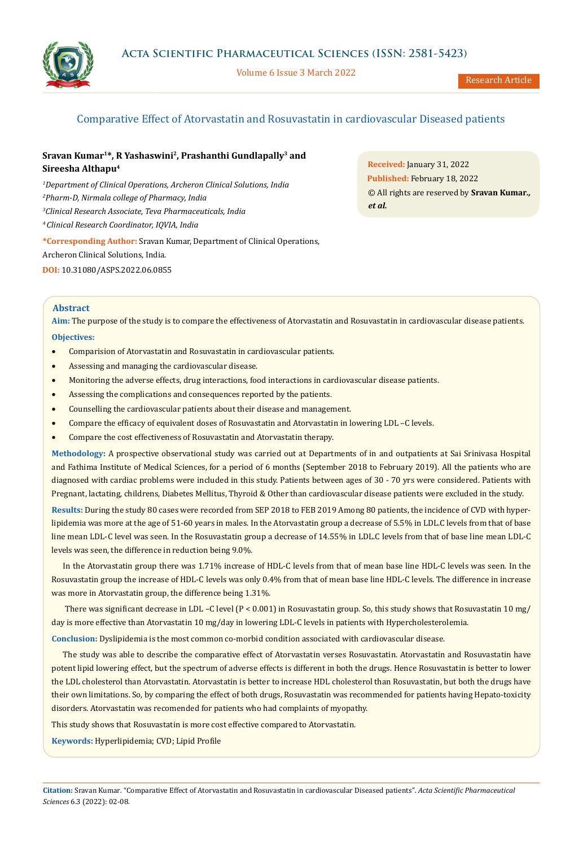

Volume 6 Issue 3 March 2022

Research Article

# Comparative Effect of Atorvastatin and Rosuvastatin in cardiovascular Diseased patients

## **Sravan Kumar1\*, R Yashaswini2, Prashanthi Gundlapally3 and Sireesha Althapu4**

 *Department of Clinical Operations, Archeron Clinical Solutions, India Pharm-D, Nirmala college of Pharmacy, India Clinical Research Associate, Teva Pharmaceuticals, India 4 Clinical Research Coordinator, IQVIA, India*

**\*Corresponding Author:** Sravan Kumar, Department of Clinical Operations, Archeron Clinical Solutions, India. **DOI:** [10.31080/ASPS.2022.06.0855](https://actascientific.com/ASPS/pdf/ASPS-06-0855.pdf)

**Received:** January 31, 2022 **Published:** February 18, 2022 © All rights are reserved by **Sravan Kumar***., et al.*

## **Abstract**

**Aim:** The purpose of the study is to compare the effectiveness of Atorvastatin and Rosuvastatin in cardiovascular disease patients. **Objectives:**

- Comparision of Atorvastatin and Rosuvastatin in cardiovascular patients.
- Assessing and managing the cardiovascular disease.
- Monitoring the adverse effects, drug interactions, food interactions in cardiovascular disease patients.
- Assessing the complications and consequences reported by the patients.
- Counselling the cardiovascular patients about their disease and management.
- Compare the efficacy of equivalent doses of Rosuvastatin and Atorvastatin in lowering LDL -C levels.
- Compare the cost effectiveness of Rosuvastatin and Atorvastatin therapy.

**Methodology:** A prospective observational study was carried out at Departments of in and outpatients at Sai Srinivasa Hospital and Fathima Institute of Medical Sciences, for a period of 6 months (September 2018 to February 2019). All the patients who are diagnosed with cardiac problems were included in this study. Patients between ages of 30 - 70 yrs were considered. Patients with Pregnant, lactating, childrens, Diabetes Mellitus, Thyroid & Other than cardiovascular disease patients were excluded in the study.

**Results:** During the study 80 cases were recorded from SEP 2018 to FEB 2019 Among 80 patients, the incidence of CVD with hyperlipidemia was more at the age of 51-60 years in males. In the Atorvastatin group a decrease of 5.5% in LDL.C levels from that of base line mean LDL-C level was seen. In the Rosuvastatin group a decrease of 14.55% in LDL.C levels from that of base line mean LDL-C levels was seen, the difference in reduction being 9.0%.

In the Atorvastatin group there was 1.71% increase of HDL-C levels from that of mean base line HDL-C levels was seen. In the Rosuvastatin group the increase of HDL-C levels was only 0.4% from that of mean base line HDL-C levels. The difference in increase was more in Atorvastatin group, the difference being 1.31%.

 There was significant decrease in LDL –C level (P < 0.001) in Rosuvastatin group. So, this study shows that Rosuvastatin 10 mg/ day is more effective than Atorvastatin 10 mg/day in lowering LDL-C levels in patients with Hypercholesterolemia.

**Conclusion:** Dyslipidemia is the most common co-morbid condition associated with cardiovascular disease.

The study was able to describe the comparative effect of Atorvastatin verses Rosuvastatin. Atorvastatin and Rosuvastatin have potent lipid lowering effect, but the spectrum of adverse effects is different in both the drugs. Hence Rosuvastatin is better to lower the LDL cholesterol than Atorvastatin. Atorvastatin is better to increase HDL cholesterol than Rosuvastatin, but both the drugs have their own limitations. So, by comparing the effect of both drugs, Rosuvastatin was recommended for patients having Hepato-toxicity disorders. Atorvastatin was recomended for patients who had complaints of myopathy.

This study shows that Rosuvastatin is more cost effective compared to Atorvastatin.

**Keywords:** Hyperlipidemia; CVD; Lipid Profile

**Citation:** Sravan Kumar*.* "Comparative Effect of Atorvastatin and Rosuvastatin in cardiovascular Diseased patients". *Acta Scientific Pharmaceutical Sciences* 6.3 (2022): 02-08.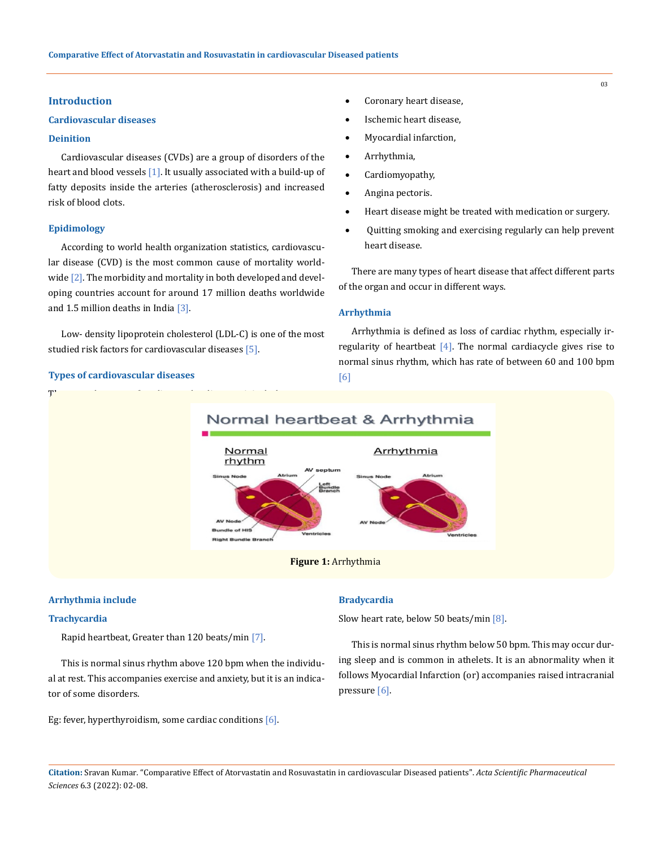## **Introduction**

#### **Cardiovascular diseases**

## **Deinition**

Cardiovascular diseases (CVDs) are a group of disorders of the heart and blood vessels  $[1]$ . It usually associated with a build-up of fatty deposits inside the arteries (atherosclerosis) and increased risk of blood clots.

#### **Epidimology**

According to world health organization statistics, cardiovascular disease (CVD) is the most common cause of mortality worldwide [2]. The morbidity and mortality in both developed and developing countries account for around 17 million deaths worldwide and 1.5 million deaths in India [3].

Low- density lipoprotein cholesterol (LDL-C) is one of the most studied risk factors for cardiovascular diseases [5].

These are the types of cardiovascular diseases, it includes  $\mathcal{O}(\mathcal{C})$ 

## **Types of cardiovascular diseases**



- Ischemic heart disease,
- Myocardial infarction,
- • Arrhythmia,
- Cardiomyopathy,
- Angina pectoris.
- Heart disease might be treated with medication or surgery.
- • [Quitting smoking](https://www.medicalnewstoday.com/articles/241302.php) and exercising regularly can help prevent heart disease.

There are many types of heart disease that affect different parts of the organ and occur in different ways.

#### **Arrhythmia**

Arrhythmia is defined as loss of cardiac rhythm, especially irregularity of heartbeat [4]. The normal cardiacycle gives rise to normal sinus rhythm, which has rate of between 60 and 100 bpm [6]



**Figure 1:** Arrhythmia

#### **Arrhythmia include**

## **Trachycardia**

Rapid heartbeat, Greater than 120 beats/min [7].

This is normal sinus rhythm above 120 bpm when the individual at rest. This accompanies exercise and anxiety, but it is an indicator of some disorders.

Eg: fever, hyperthyroidism, some cardiac conditions [6].

#### **Bradycardia**

Slow heart rate, below 50 beats/min [8].

This is normal sinus rhythm below 50 bpm. This may occur during sleep and is common in athelets. It is an abnormality when it follows Myocardial Infarction (or) accompanies raised intracranial pressure [6].

**Citation:** Sravan Kumar*.* "Comparative Effect of Atorvastatin and Rosuvastatin in cardiovascular Diseased patients". *Acta Scientific Pharmaceutical Sciences* 6.3 (2022): 02-08.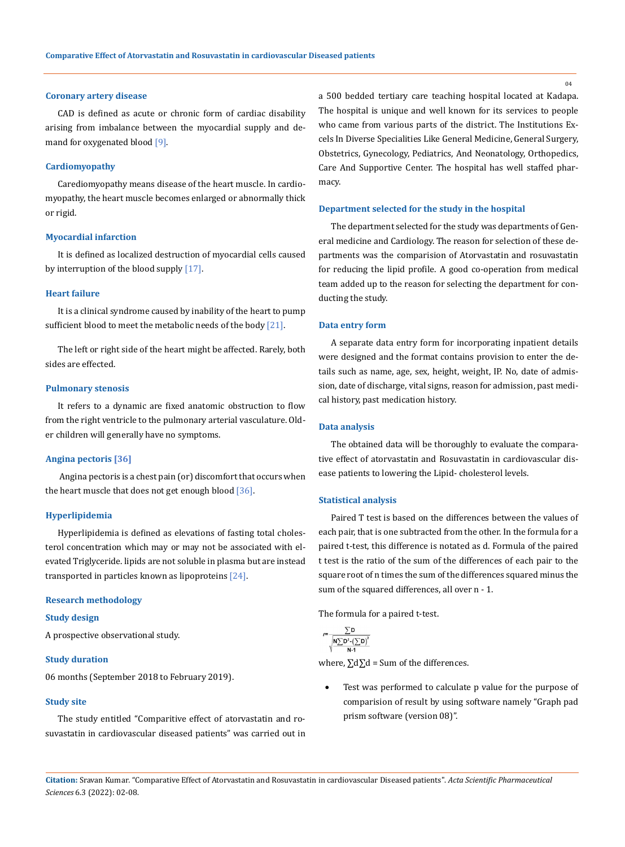## **Coronary artery disease**

CAD is defined as acute or chronic form of cardiac disability arising from imbalance between the myocardial supply and demand for oxygenated blood [9].

## **Cardiomyopathy**

Carediomyopathy means disease of the heart muscle. In cardiomyopathy, the heart muscle becomes enlarged or abnormally thick or rigid.

## **Myocardial infarction**

It is defined as localized destruction of myocardial cells caused by interruption of the blood supply [17].

#### **Heart failure**

It is a clinical syndrome caused by inability of the heart to pump sufficient blood to meet the metabolic needs of the body [21].

The left or right side of the heart might be affected. Rarely, both sides are effected.

#### **Pulmonary stenosis**

It refers to a dynamic are fixed anatomic obstruction to flow from the right ventricle to the pulmonary arterial vasculature. Older children will generally have no symptoms.

#### **Angina pectoris [36]**

Angina pectoris is a chest pain (or) discomfort that occurs when the heart muscle that does not get enough blood  $[36]$ .

#### **Hyperlipidemia**

Hyperlipidemia is defined as elevations of fasting total cholesterol concentration which may or may not be associated with elevated Triglyceride. lipids are not soluble in plasma but are instead transported in particles known as lipoproteins [24].

#### **Research methodology**

## **Study design**

A prospective observational study.

#### **Study duration**

06 months (September 2018 to February 2019).

## **Study site**

The study entitled "Comparitive effect of atorvastatin and rosuvastatin in cardiovascular diseased patients" was carried out in a 500 bedded tertiary care teaching hospital located at Kadapa. The hospital is unique and well known for its services to people who came from various parts of the district. The Institutions Excels In Diverse Specialities Like General Medicine, General Surgery, Obstetrics, Gynecology, Pediatrics, And Neonatology, Orthopedics, Care And Supportive Center. The hospital has well staffed pharmacy.

## **Department selected for the study in the hospital**

The department selected for the study was departments of General medicine and Cardiology. The reason for selection of these departments was the comparision of Atorvastatin and rosuvastatin for reducing the lipid profile. A good co-operation from medical team added up to the reason for selecting the department for conducting the study.

## **Data entry form**

A separate data entry form for incorporating inpatient details were designed and the format contains provision to enter the details such as name, age, sex, height, weight, IP. No, date of admission, date of discharge, vital signs, reason for admission, past medical history, past medication history.

#### **Data analysis**

The obtained data will be thoroughly to evaluate the comparative effect of atorvastatin and Rosuvastatin in cardiovascular disease patients to lowering the Lipid- cholesterol levels.

## **Statistical analysis**

Paired T test is based on the differences between the values of each pair, that is one subtracted from the other. In the formula for a paired t-test, this difference is notated as d. Formula of the paired t test is the ratio of the sum of the differences of each pair to the square root of n times the sum of the differences squared minus the sum of the squared differences, all over n - 1.

The formula for a paired t-test.

$$
t = \frac{\sum D}{\sqrt{N\sum D^2 - (\sum D)^2}}
$$

where,  $\sum d\sum d =$  Sum of the differences.

Test was performed to calculate p value for the purpose of comparision of result by using software namely "Graph pad prism software (version 08)".

**Citation:** Sravan Kumar*.* "Comparative Effect of Atorvastatin and Rosuvastatin in cardiovascular Diseased patients". *Acta Scientific Pharmaceutical Sciences* 6.3 (2022): 02-08.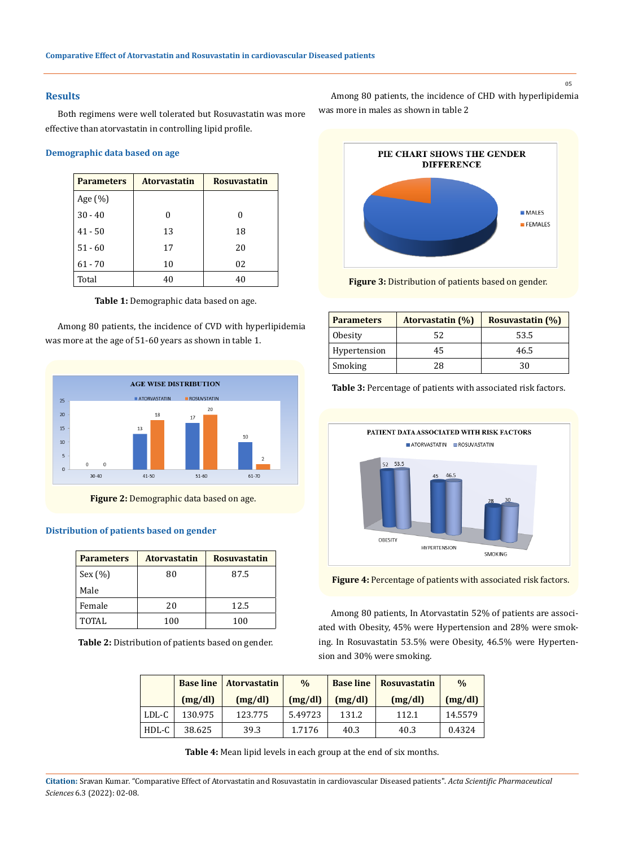## **Results**

Both regimens were well tolerated but Rosuvastatin was more effective than atorvastatin in controlling lipid profile.

## **Demographic data based on age**

| <b>Parameters</b> | <b>Atoryastatin</b> | <b>Rosuvastatin</b> |  |  |
|-------------------|---------------------|---------------------|--|--|
| Age (%)           |                     |                     |  |  |
| $30 - 40$         | O                   | 0                   |  |  |
| $41 - 50$         | 13                  | 18                  |  |  |
| $51 - 60$         | 17                  | 20                  |  |  |
| $61 - 70$         | 10                  | 02                  |  |  |
| Total             | 40                  | 40                  |  |  |

**Table 1:** Demographic data based on age.

Among 80 patients, the incidence of CVD with hyperlipidemia was more at the age of 51-60 years as shown in table 1.



**Figure 2:** Demographic data based on age.

## **Distribution of patients based on gender**

| <b>Parameters</b> | <b>Atoryastatin</b> | <b>Rosuvastatin</b> |  |  |
|-------------------|---------------------|---------------------|--|--|
| Sex (%)           | 80                  | 87.5                |  |  |
| Male              |                     |                     |  |  |
| Female            | 20                  | 12.5                |  |  |
| <b>TOTAL</b>      | 100                 | 100                 |  |  |

**Table 2:** Distribution of patients based on gender.

Among 80 patients, the incidence of CHD with hyperlipidemia was more in males as shown in table 2



**Figure 3:** Distribution of patients based on gender.

| <b>Parameters</b> | <b>Atorvastatin (%)</b> | <b>Rosuvastatin (%)</b> |  |  |
|-------------------|-------------------------|-------------------------|--|--|
| Obesity           | 52                      | 53.5                    |  |  |
| Hypertension      | 45                      | 46.5                    |  |  |
| Smoking           | 28                      | 30                      |  |  |





**Figure 4:** Percentage of patients with associated risk factors.

Among 80 patients, In Atorvastatin 52% of patients are associated with Obesity, 45% were Hypertension and 28% were smoking. In Rosuvastatin 53.5% were Obesity, 46.5% were Hypertension and 30% were smoking.

|       | <b>Base line</b> | <b>Atoryastatin</b> | $\frac{0}{0}$<br><b>Base line</b> |         | Rosuvastatin | $\frac{0}{0}$ |
|-------|------------------|---------------------|-----------------------------------|---------|--------------|---------------|
|       | (mg/dl)          | (mg/dl)             | (mg/dl)                           | (mg/dl) | (mg/dl)      | (mg/dl)       |
| LDL-C | 130.975          | 123.775             | 5.49723                           | 131.2   | 112.1        | 14.5579       |
| HDL-C | 38.625           | 39.3                | 1.7176                            | 40.3    | 40.3         | 0.4324        |

**Table 4:** Mean lipid levels in each group at the end of six months.

**Citation:** Sravan Kumar*.* "Comparative Effect of Atorvastatin and Rosuvastatin in cardiovascular Diseased patients". *Acta Scientific Pharmaceutical Sciences* 6.3 (2022): 02-08.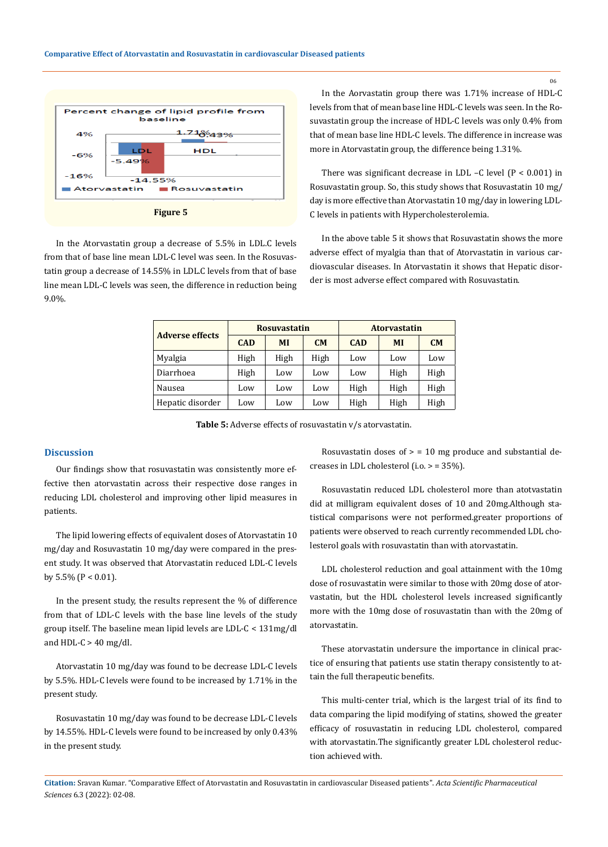

In the Atorvastatin group a decrease of 5.5% in LDL.C levels from that of base line mean LDL-C level was seen. In the Rosuvastatin group a decrease of 14.55% in LDL.C levels from that of base line mean LDL-C levels was seen, the difference in reduction being 9.0%.

In the Aorvastatin group there was 1.71% increase of HDL-C levels from that of mean base line HDL-C levels was seen. In the Rosuvastatin group the increase of HDL-C levels was only 0.4% from that of mean base line HDL-C levels. The difference in increase was more in Atorvastatin group, the difference being 1.31%.

There was significant decrease in LDL –C level (P < 0.001) in Rosuvastatin group. So, this study shows that Rosuvastatin 10 mg/ day is more effective than Atorvastatin 10 mg/day in lowering LDL-C levels in patients with Hypercholesterolemia.

In the above table 5 it shows that Rosuvastatin shows the more adverse effect of myalgia than that of Atorvastatin in various cardiovascular diseases. In Atorvastatin it shows that Hepatic disorder is most adverse effect compared with Rosuvastatin.

| <b>Adverse effects</b> | <b>Rosuvastatin</b> |           |           | <b>Atoryastatin</b> |           |      |
|------------------------|---------------------|-----------|-----------|---------------------|-----------|------|
|                        | <b>CAD</b>          | <b>MI</b> | <b>CM</b> | CAD                 | <b>MI</b> | CM   |
| Myalgia                | High                | High      | High      | Low                 | Low       | Low  |
| Diarrhoea              | High                | Low       | Low       | Low                 | High      | High |
| Nausea                 | Low                 | Low       | Low       | High                | High      | High |
| Hepatic disorder       | Low                 | Low       | Low       | High                | High      | High |

**Table 5:** Adverse effects of rosuvastatin v/s atorvastatin.

## **Discussion**

Our findings show that rosuvastatin was consistently more effective then atorvastatin across their respective dose ranges in reducing LDL cholesterol and improving other lipid measures in patients.

The lipid lowering effects of equivalent doses of Atorvastatin 10 mg/day and Rosuvastatin 10 mg/day were compared in the present study. It was observed that Atorvastatin reduced LDL-C levels by 5.5% (P < 0.01).

In the present study, the results represent the % of difference from that of LDL-C levels with the base line levels of the study group itself. The baseline mean lipid levels are LDL-C < 131mg/dl and HDL- $C > 40$  mg/dl.

Atorvastatin 10 mg/day was found to be decrease LDL-C levels by 5.5%. HDL-C levels were found to be increased by 1.71% in the present study.

Rosuvastatin 10 mg/day was found to be decrease LDL-C levels by 14.55%. HDL-C levels were found to be increased by only 0.43% in the present study.

Rosuvastatin doses of  $>$  = 10 mg produce and substantial decreases in LDL cholesterol (i.o. > = 35%).

Rosuvastatin reduced LDL cholesterol more than atotvastatin did at milligram equivalent doses of 10 and 20mg.Although statistical comparisons were not performed.greater proportions of patients were observed to reach currently recommended LDL cholesterol goals with rosuvastatin than with atorvastatin.

LDL cholesterol reduction and goal attainment with the 10mg dose of rosuvastatin were similar to those with 20mg dose of atorvastatin, but the HDL cholesterol levels increased significantly more with the 10mg dose of rosuvastatin than with the 20mg of atorvastatin.

These atorvastatin undersure the importance in clinical practice of ensuring that patients use statin therapy consistently to attain the full therapeutic benefits.

This multi-center trial, which is the largest trial of its find to data comparing the lipid modifying of statins, showed the greater efficacy of rosuvastatin in reducing LDL cholesterol, compared with atorvastatin.The significantly greater LDL cholesterol reduction achieved with.

**Citation:** Sravan Kumar*.* "Comparative Effect of Atorvastatin and Rosuvastatin in cardiovascular Diseased patients". *Acta Scientific Pharmaceutical Sciences* 6.3 (2022): 02-08.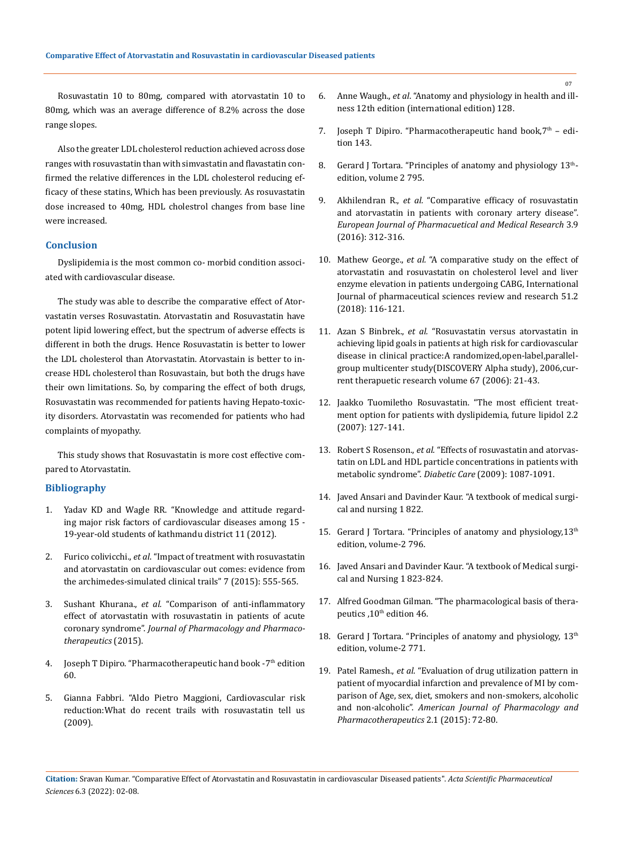Rosuvastatin 10 to 80mg, compared with atorvastatin 10 to 80mg, which was an average difference of 8.2% across the dose range slopes.

Also the greater LDL cholesterol reduction achieved across dose ranges with rosuvastatin than with simvastatin and flavastatin confirmed the relative differences in the LDL cholesterol reducing efficacy of these statins, Which has been previously. As rosuvastatin dose increased to 40mg, HDL cholestrol changes from base line were increased.

## **Conclusion**

Dyslipidemia is the most common co- morbid condition associated with cardiovascular disease.

The study was able to describe the comparative effect of Atorvastatin verses Rosuvastatin. Atorvastatin and Rosuvastatin have potent lipid lowering effect, but the spectrum of adverse effects is different in both the drugs. Hence Rosuvastatin is better to lower the LDL cholesterol than Atorvastatin. Atorvastain is better to increase HDL cholesterol than Rosuvastain, but both the drugs have their own limitations. So, by comparing the effect of both drugs, Rosuvastatin was recommended for patients having Hepato-toxicity disorders. Atorvastatin was recomended for patients who had complaints of myopathy.

This study shows that Rosuvastatin is more cost effective compared to Atorvastatin.

## **Bibliography**

- 1. Yadav KD and Wagle RR. "Knowledge and attitude regarding major risk factors of cardiovascular diseases among 15 - 19-year-old students of kathmandu district 11 (2012).
- 2. Furico colivicchi., *et al*[. "Impact of treatment with rosuvastatin](https://www.ncbi.nlm.nih.gov/pmc/articles/PMC4669037/) [and atorvastatin on cardiovascular out comes: evidence from](https://www.ncbi.nlm.nih.gov/pmc/articles/PMC4669037/) [the archimedes-simulated clinical trails" 7 \(2015\): 555-565.](https://www.ncbi.nlm.nih.gov/pmc/articles/PMC4669037/)
- 3. Sushant Khurana., *et al.* ["Comparison of anti-inflammatory](https://pubmed.ncbi.nlm.nih.gov/26311995/) [effect of atorvastatin with rosuvastatin in patients of acute](https://pubmed.ncbi.nlm.nih.gov/26311995/) coronary syndrome". *[Journal of Pharmacology and Pharmaco](https://pubmed.ncbi.nlm.nih.gov/26311995/)[therapeutics](https://pubmed.ncbi.nlm.nih.gov/26311995/)* (2015).
- 4. Joseph T Dipiro. "Pharmacotherapeutic hand book -7<sup>th</sup> edition 60.
- 5. [Gianna Fabbri. "Aldo Pietro Maggioni, Cardiovascular risk](https://pubmed.ncbi.nlm.nih.gov/19444394/) [reduction:What do recent trails with rosuvastatin tell us](https://pubmed.ncbi.nlm.nih.gov/19444394/) [\(2009\).](https://pubmed.ncbi.nlm.nih.gov/19444394/)
- 6. Anne Waugh., *et al*. "Anatomy and physiology in health and illness 12th edition (international edition) 128.
- 7. Joseph T Dipiro. "Pharmacotherapeutic hand book, $7<sup>th</sup>$  edi[tion 143.](https://faculty.ksu.edu.sa/sites/default/files/Pharmacotherapy_Handbook_7th_Edition.pdf)
- 8. Gerard J Tortara. "Principles of anatomy and physiology 13<sup>th</sup>edition, volume 2 795.
- 9. Akhilendran R., *et al.* ["Comparative efficacy of rosuvastatin](https://pubmed.ncbi.nlm.nih.gov/31829197/)  [and atorvastatin in patients with coronary artery disease".](https://pubmed.ncbi.nlm.nih.gov/31829197/)  *[European Journal of Pharmacuetical and Medical Research](https://pubmed.ncbi.nlm.nih.gov/31829197/)* 3.9 [\(2016\): 312-316.](https://pubmed.ncbi.nlm.nih.gov/31829197/)
- 10. Mathew George., *et al.* ["A comparative study on the effect of](https://globalresearchonline.net/journalcontents/v51-2/21.pdf)  [atorvastatin and rosuvastatin on cholesterol level and liver](https://globalresearchonline.net/journalcontents/v51-2/21.pdf)  [enzyme elevation in patients undergoing CABG, International](https://globalresearchonline.net/journalcontents/v51-2/21.pdf)  [Journal of pharmaceutical sciences review and research 51.2](https://globalresearchonline.net/journalcontents/v51-2/21.pdf)  [\(2018\): 116-121.](https://globalresearchonline.net/journalcontents/v51-2/21.pdf)
- 11. Azan S Binbrek., *et al.* ["Rosuvastatin versus atorvastatin in](https://pubmed.ncbi.nlm.nih.gov/24936119/)  [achieving lipid goals in patients at high risk for cardiovascular](https://pubmed.ncbi.nlm.nih.gov/24936119/)  [disease in clinical practice:A randomized,open-label,parallel](https://pubmed.ncbi.nlm.nih.gov/24936119/)[group multicenter study\(DISCOVERY Alpha study\), 2006,cur](https://pubmed.ncbi.nlm.nih.gov/24936119/)[rent therapuetic research volume 67 \(2006\): 21-43.](https://pubmed.ncbi.nlm.nih.gov/24936119/)
- 12. Jaakko Tuomiletho Rosuvastatin. "The most efficient treatment option for patients with dyslipidemia, future lipidol 2.2 (2007): 127-141.
- 13. Robert S Rosenson., *et al.* ["Effects of rosuvastatin and atorvas](https://www.ncbi.nlm.nih.gov/pmc/articles/PMC2681027/)[tatin on LDL and HDL particle concentrations in patients with](https://www.ncbi.nlm.nih.gov/pmc/articles/PMC2681027/)  [metabolic syndrome".](https://www.ncbi.nlm.nih.gov/pmc/articles/PMC2681027/) *Diabetic Care* (2009): 1087-1091.
- 14. Javed Ansari and Davinder Kaur. "A textbook of medical surgical and nursing 1 822.
- 15. Gerard J Tortara. "Principles of anatomy and physiology, 13<sup>th</sup> edition, volume-2 796.
- 16. Javed Ansari and Davinder Kaur. "A textbook of Medical surgical and Nursing 1 823-824.
- 17. Alfred Goodman Gilman. "The pharmacological basis of therapeutics , 10<sup>th</sup> edition 46.
- 18. Gerard J Tortara. "Principles of anatomy and physiology, 13<sup>th</sup> edition, volume-2 771.
- 19. Patel Ramesh., *et al*[. "Evaluation of drug utilization pattern in](https://www.imedpub.com/articles/evaluation-of-drug-utilization-pattern-in-patient-of-myocardial-infarction--prevalence-of-the-mi-by-comparison-of-age-sex-dietsmok.pdf)  [patient of myocardial infarction and prevalence of MI by com](https://www.imedpub.com/articles/evaluation-of-drug-utilization-pattern-in-patient-of-myocardial-infarction--prevalence-of-the-mi-by-comparison-of-age-sex-dietsmok.pdf)[parison of Age, sex, diet, smokers and non-smokers, alcoholic](https://www.imedpub.com/articles/evaluation-of-drug-utilization-pattern-in-patient-of-myocardial-infarction--prevalence-of-the-mi-by-comparison-of-age-sex-dietsmok.pdf)  and non-alcoholic". *[American Journal of Pharmacology and](https://www.imedpub.com/articles/evaluation-of-drug-utilization-pattern-in-patient-of-myocardial-infarction--prevalence-of-the-mi-by-comparison-of-age-sex-dietsmok.pdf)  [Pharmacotherapeutics](https://www.imedpub.com/articles/evaluation-of-drug-utilization-pattern-in-patient-of-myocardial-infarction--prevalence-of-the-mi-by-comparison-of-age-sex-dietsmok.pdf)* 2.1 (2015): 72-80.

**Citation:** Sravan Kumar*.* "Comparative Effect of Atorvastatin and Rosuvastatin in cardiovascular Diseased patients". *Acta Scientific Pharmaceutical Sciences* 6.3 (2022): 02-08.